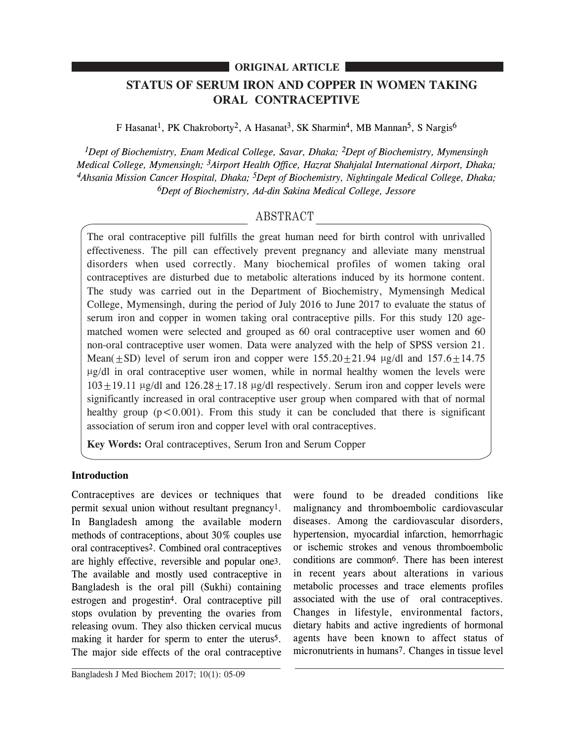## **ORIGINAL ARTICLE**

# **STATUS OF SERUM IRON AND COPPER IN WOMEN TAKING ORAL CONTRACEPTIVE**

F Hasanat<sup>1</sup>, PK Chakroborty<sup>2</sup>, A Hasanat<sup>3</sup>, SK Sharmin<sup>4</sup>, MB Mannan<sup>5</sup>, S Nargis<sup>6</sup>

*1Dept of Biochemistry, Enam Medical College, Savar, Dhaka; 2Dept of Biochemistry, Mymensingh Medical College, Mymensingh; 3Airport Health Office, Hazrat Shahjalal International Airport, Dhaka; 4Ahsania Mission Cancer Hospital, Dhaka; 5Dept of Biochemistry, Nightingale Medical College, Dhaka; 6Dept of Biochemistry, Ad-din Sakina Medical College, Jessore*

## ABSTRACT

The oral contraceptive pill fulfills the great human need for birth control with unrivalled effectiveness. The pill can effectively prevent pregnancy and alleviate many menstrual disorders when used correctly. Many biochemical profiles of women taking oral contraceptives are disturbed due to metabolic alterations induced by its hormone content. The study was carried out in the Department of Biochemistry, Mymensingh Medical College, Mymensingh, during the period of July 2016 to June 2017 to evaluate the status of serum iron and copper in women taking oral contraceptive pills. For this study 120 agematched women were selected and grouped as 60 oral contraceptive user women and 60 non-oral contraceptive user women. Data were analyzed with the help of SPSS version 21. Mean( $\pm$ SD) level of serum iron and copper were 155.20 $\pm$ 21.94 µg/dl and 157.6 $\pm$ 14.75  $\mu$ g/dl in oral contraceptive user women, while in normal healthy women the levels were  $103 \pm 19.11$  µg/dl and  $126.28 \pm 17.18$  µg/dl respectively. Serum iron and copper levels were significantly increased in oral contraceptive user group when compared with that of normal healthy group  $(p<0.001)$ . From this study it can be concluded that there is significant association of serum iron and copper level with oral contraceptives.

**Key Words:** Oral contraceptives, Serum Iron and Serum Copper

## **Introduction**

Contraceptives are devices or techniques that permit sexual union without resultant pregnancy1. In Bangladesh among the available modern methods of contraceptions, about 30% couples use oral contraceptives2. Combined oral contraceptives are highly effective, reversible and popular one3. The available and mostly used contraceptive in Bangladesh is the oral pill (Sukhi) containing estrogen and progestin4. Oral contraceptive pill stops ovulation by preventing the ovaries from releasing ovum. They also thicken cervical mucus making it harder for sperm to enter the uterus5. The major side effects of the oral contraceptive

malignancy and thromboembolic cardiovascular diseases. Among the cardiovascular disorders, hypertension, myocardial infarction, hemorrhagic or ischemic strokes and venous thromboembolic conditions are common6. There has been interest in recent years about alterations in various metabolic processes and trace elements profiles associated with the use of oral contraceptives. Changes in lifestyle, environmental factors, dietary habits and active ingredients of hormonal agents have been known to affect status of micronutrients in humans7. Changes in tissue level

were found to be dreaded conditions like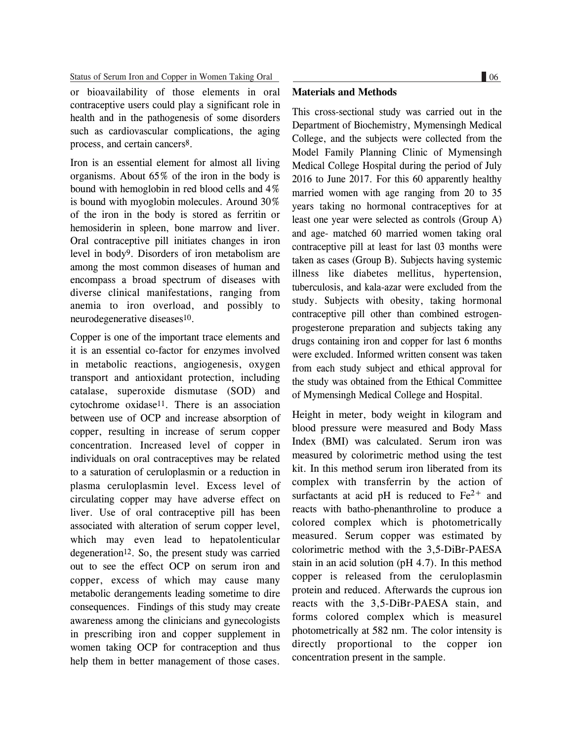Status of Serum Iron and Copper in Women Taking Oral 06

or bioavailability of those elements in oral contraceptive users could play a significant role in health and in the pathogenesis of some disorders such as cardiovascular complications, the aging process, and certain cancers8.

Iron is an essential element for almost all living organisms. About 65% of the iron in the body is bound with hemoglobin in red blood cells and 4% is bound with myoglobin molecules. Around 30% of the iron in the body is stored as ferritin or hemosiderin in spleen, bone marrow and liver. Oral contraceptive pill initiates changes in iron level in body9. Disorders of iron metabolism are among the most common diseases of human and encompass a broad spectrum of diseases with diverse clinical manifestations, ranging from anemia to iron overload, and possibly to neurodegenerative diseases10.

Copper is one of the important trace elements and it is an essential co-factor for enzymes involved in metabolic reactions, angiogenesis, oxygen transport and antioxidant protection, including catalase, superoxide dismutase (SOD) and cytochrome oxidase11. There is an association between use of OCP and increase absorption of copper, resulting in increase of serum copper concentration. Increased level of copper in individuals on oral contraceptives may be related to a saturation of ceruloplasmin or a reduction in plasma ceruloplasmin level. Excess level of circulating copper may have adverse effect on liver. Use of oral contraceptive pill has been associated with alteration of serum copper level, which may even lead to hepatolenticular degeneration<sup>12</sup>. So, the present study was carried out to see the effect OCP on serum iron and copper, excess of which may cause many metabolic derangements leading sometime to dire consequences. Findings of this study may create awareness among the clinicians and gynecologists in prescribing iron and copper supplement in women taking OCP for contraception and thus help them in better management of those cases.

#### **Materials and Methods**

This cross-sectional study was carried out in the Department of Biochemistry, Mymensingh Medical College, and the subjects were collected from the Model Family Planning Clinic of Mymensingh Medical College Hospital during the period of July 2016 to June 2017. For this 60 apparently healthy married women with age ranging from 20 to 35 years taking no hormonal contraceptives for at least one year were selected as controls (Group A) and age- matched 60 married women taking oral contraceptive pill at least for last 03 months were taken as cases (Group B). Subjects having systemic illness like diabetes mellitus, hypertension, tuberculosis, and kala-azar were excluded from the study. Subjects with obesity, taking hormonal contraceptive pill other than combined estrogenprogesterone preparation and subjects taking any drugs containing iron and copper for last 6 months were excluded. Informed written consent was taken from each study subject and ethical approval for the study was obtained from the Ethical Committee of Mymensingh Medical College and Hospital.

Height in meter, body weight in kilogram and blood pressure were measured and Body Mass Index (BMI) was calculated. Serum iron was measured by colorimetric method using the test kit. In this method serum iron liberated from its complex with transferrin by the action of surfactants at acid pH is reduced to  $Fe<sup>2+</sup>$  and reacts with batho-phenanthroline to produce a colored complex which is photometrically measured. Serum copper was estimated by colorimetric method with the 3,5-DiBr-PAESA stain in an acid solution (pH 4.7). In this method copper is released from the ceruloplasmin protein and reduced. Afterwards the cuprous ion reacts with the 3,5-DiBr-PAESA stain, and forms colored complex which is measurel photometrically at 582 nm. The color intensity is directly proportional to the copper ion concentration present in the sample.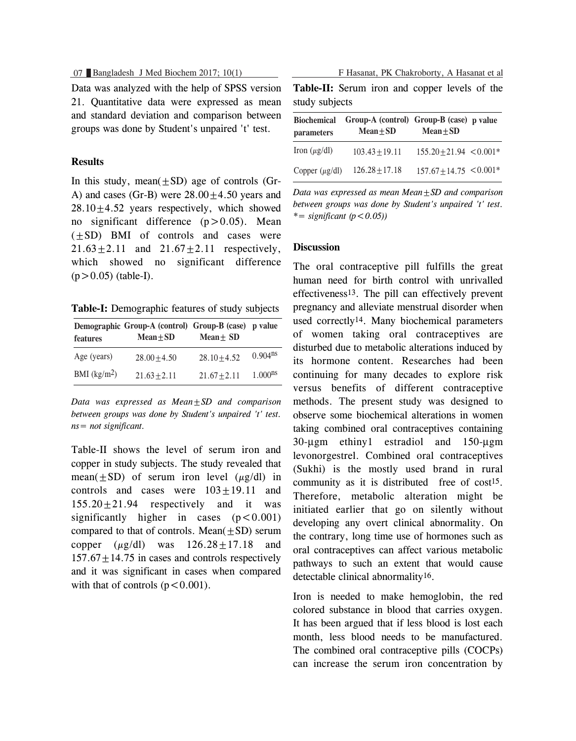07 Bangladesh J Med Biochem 2017; 10(1) F Hasanat, PK Chakroborty, A Hasanat et al

Data was analyzed with the help of SPSS version 21. Quantitative data were expressed as mean and standard deviation and comparison between groups was done by Student's unpaired 't' test.

### **Results**

In this study, mean $(\pm SD)$  age of controls (Gr-A) and cases (Gr-B) were  $28.00 \pm 4.50$  years and  $28.10 \pm 4.52$  years respectively, which showed no significant difference  $(p>0.05)$ . Mean  $(\pm SD)$  BMI of controls and cases were  $21.63 \pm 2.11$  and  $21.67 \pm 2.11$  respectively, which showed no significant difference  $(p > 0.05)$  (table-I).

**Table-I:** Demographic features of study subjects

| features      | Demographic Group-A (control) Group-B (case) p value<br>$Mean + SD$ | $Mean + SD$    |                       |
|---------------|---------------------------------------------------------------------|----------------|-----------------------|
| Age (years)   | $28.00 + 4.50$                                                      | $28.10 + 4.52$ | $0.904$ <sup>ns</sup> |
| BMI $(kg/m2)$ | $21.63 + 2.11$                                                      | $21.67 + 2.11$ | $1.000$ <sup>ns</sup> |

*Data was expressed as Mean±SD and comparison between groups was done by Student's unpaired 't' test. ns= not significant.*

Table-II shows the level of serum iron and copper in study subjects. The study revealed that mean( $+SD$ ) of serum iron level ( $\mu$ g/dl) in controls and cases were  $103+19.11$  and  $155.20+21.94$  respectively and it was significantly higher in cases  $(p < 0.001)$ compared to that of controls. Mean $(+SD)$  serum copper  $(\mu g/dl)$  was  $126.28+17.18$  and  $157.67 + 14.75$  in cases and controls respectively and it was significant in cases when compared with that of controls  $(p < 0.001)$ .

**Table-II:** Serum iron and copper levels of the

| study subjects                   |                                                         |                             |  |  |
|----------------------------------|---------------------------------------------------------|-----------------------------|--|--|
| <b>Biochemical</b><br>parameters | Group-A (control) Group-B (case) p value<br>$Mean + SD$ | $Mean + SD$                 |  |  |
| Iron $(\mu g/dl)$                | $103.43 + 19.11$                                        | $155.20 + 21.94 \le 0.001*$ |  |  |
| Copper $(\mu g/dl)$              | $126.28 + 17.18$                                        | $157.67 + 14.75 \le 0.001*$ |  |  |

*Data was expressed as mean Mean±SD and comparison between groups was done by Student's unpaired 't' test. \*= significant (p<0.05))*

#### **Discussion**

The oral contraceptive pill fulfills the great human need for birth control with unrivalled effectiveness13. The pill can effectively prevent pregnancy and alleviate menstrual disorder when used correctly14. Many biochemical parameters of women taking oral contraceptives are disturbed due to metabolic alterations induced by its hormone content. Researches had been continuing for many decades to explore risk versus benefits of different contraceptive methods. The present study was designed to observe some biochemical alterations in women taking combined oral contraceptives containing 30-µgm ethiny1 estradiol and 150-µgm levonorgestrel. Combined oral contraceptives (Sukhi) is the mostly used brand in rural community as it is distributed free of cost<sup>15</sup>. Therefore, metabolic alteration might be initiated earlier that go on silently without developing any overt clinical abnormality. On the contrary, long time use of hormones such as oral contraceptives can affect various metabolic pathways to such an extent that would cause detectable clinical abnormality16.

Iron is needed to make hemoglobin, the red colored substance in blood that carries oxygen. It has been argued that if less blood is lost each month, less blood needs to be manufactured. The combined oral contraceptive pills (COCPs) can increase the serum iron concentration by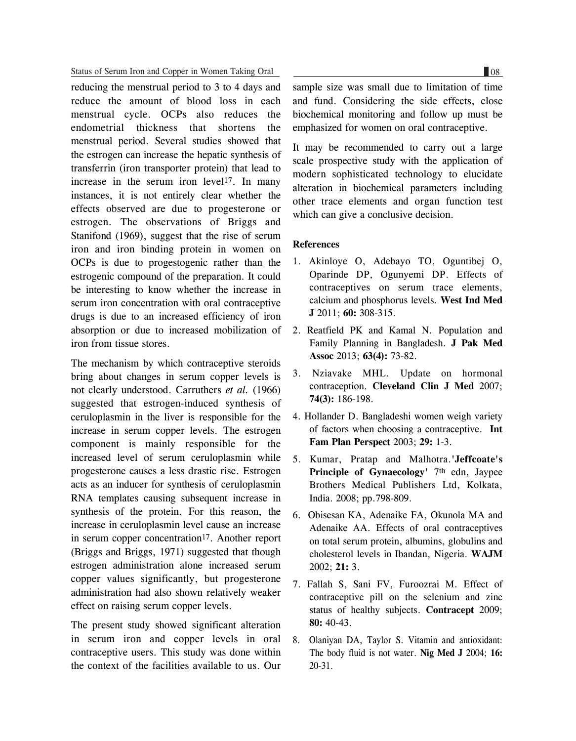#### Status of Serum Iron and Copper in Women Taking Oral

reducing the menstrual period to 3 to 4 days and reduce the amount of blood loss in each menstrual cycle. OCPs also reduces the endometrial thickness that shortens the menstrual period. Several studies showed that the estrogen can increase the hepatic synthesis of transferrin (iron transporter protein) that lead to increase in the serum iron level<sup>17</sup>. In many instances, it is not entirely clear whether the effects observed are due to progesterone or estrogen. The observations of Briggs and Stanifond (1969), suggest that the rise of serum iron and iron binding protein in women on OCPs is due to progestogenic rather than the estrogenic compound of the preparation. It could be interesting to know whether the increase in serum iron concentration with oral contraceptive drugs is due to an increased efficiency of iron absorption or due to increased mobilization of iron from tissue stores.

The mechanism by which contraceptive steroids bring about changes in serum copper levels is not clearly understood. Carruthers *et al.* (1966) suggested that estrogen-induced synthesis of ceruloplasmin in the liver is responsible for the increase in serum copper levels. The estrogen component is mainly responsible for the increased level of serum ceruloplasmin while progesterone causes a less drastic rise. Estrogen acts as an inducer for synthesis of ceruloplasmin RNA templates causing subsequent increase in synthesis of the protein. For this reason, the increase in ceruloplasmin level cause an increase in serum copper concentration<sup>17</sup>. Another report (Briggs and Briggs, 1971) suggested that though estrogen administration alone increased serum copper values significantly, but progesterone administration had also shown relatively weaker effect on raising serum copper levels.

The present study showed significant alteration in serum iron and copper levels in oral contraceptive users. This study was done within the context of the facilities available to us. Our

sample size was small due to limitation of time and fund. Considering the side effects, close biochemical monitoring and follow up must be emphasized for women on oral contraceptive.

It may be recommended to carry out a large scale prospective study with the application of modern sophisticated technology to elucidate alteration in biochemical parameters including other trace elements and organ function test which can give a conclusive decision.

#### **References**

- 1. Akinloye O, Adebayo TO, Oguntibej O, Oparinde DP, Ogunyemi DP. Effects of contraceptives on serum trace elements, calcium and phosphorus levels. **West Ind Med J** 2011; **60:** 308-315.
- 2. Reatfield PK and Kamal N. Population and Family Planning in Bangladesh. **J Pak Med Assoc** 2013; **63(4):** 73-82.
- 3. Nziavake MHL. Update on hormonal contraception. **Cleveland Clin J Med** 2007; **74(3):** 186-198.
- 4. Hollander D. Bangladeshi women weigh variety of factors when choosing a contraceptive. **Int Fam Plan Perspect** 2003; **29:** 1-3.
- 5. Kumar, Pratap and Malhotra.**'Jeffcoate's Principle of Gynaecology'** 7th edn, Jaypee Brothers Medical Publishers Ltd, Kolkata, India. 2008; pp.798-809.
- 6. Obisesan KA, Adenaike FA, Okunola MA and Adenaike AA. Effects of oral contraceptives on total serum protein, albumins, globulins and cholesterol levels in Ibandan, Nigeria. **WAJM** 2002; **21:** 3.
- 7. Fallah S, Sani FV, Furoozrai M. Effect of contraceptive pill on the selenium and zinc status of healthy subjects. **Contracept** 2009; **80:** 40-43.
- 8. Olaniyan DA, Taylor S. Vitamin and antioxidant: The body fluid is not water. **Nig Med J** 2004; **16:** 20-31.

 $\Box$ 08